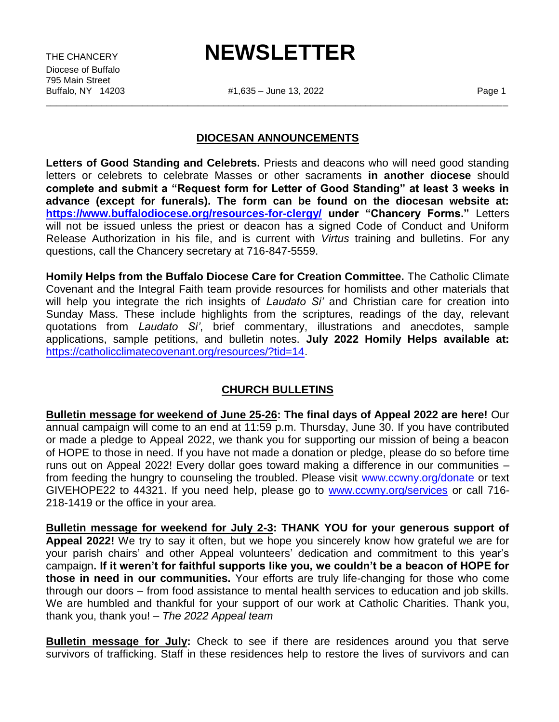Diocese of Buffalo 795 Main Street<br>Buffalo, NY 14203

# THE CHANCERY **NEWSLETTER**

#1,635 – June 13, 2022 Page 1 \_\_\_\_\_\_\_\_\_\_\_\_\_\_\_\_\_\_\_\_\_\_\_\_\_\_\_\_\_\_\_\_\_\_\_\_\_\_\_\_\_\_\_\_\_\_\_\_\_\_\_\_\_\_\_\_\_\_\_\_\_\_\_\_\_\_\_\_\_\_\_\_\_\_\_\_\_\_\_\_\_\_\_\_\_\_\_\_\_\_\_

#### **DIOCESAN ANNOUNCEMENTS**

**Letters of Good Standing and Celebrets.** Priests and deacons who will need good standing letters or celebrets to celebrate Masses or other sacraments **in another diocese** should **complete and submit a "Request form for Letter of Good Standing" at least 3 weeks in advance (except for funerals). The form can be found on the diocesan website at: <https://www.buffalodiocese.org/resources-for-clergy/> under "Chancery Forms."** Letters will not be issued unless the priest or deacon has a signed Code of Conduct and Uniform Release Authorization in his file, and is current with *Virtus* training and bulletins. For any questions, call the Chancery secretary at 716-847-5559.

**Homily Helps from the Buffalo Diocese Care for Creation Committee.** The Catholic Climate Covenant and the Integral Faith team provide resources for homilists and other materials that will help you integrate the rich insights of *Laudato Si'* and Christian care for creation into Sunday Mass. These include highlights from the scriptures, readings of the day, relevant quotations from *Laudato Si'*, brief commentary, illustrations and anecdotes, sample applications, sample petitions, and bulletin notes. **July 2022 Homily Helps available at:**  [https://catholicclimatecovenant.org/resources/?tid=14.](https://catholicclimatecovenant.org/resources/?tid=14)

### **CHURCH BULLETINS**

**Bulletin message for weekend of June 25-26: The final days of Appeal 2022 are here!** Our annual campaign will come to an end at 11:59 p.m. Thursday, June 30. If you have contributed or made a pledge to Appeal 2022, we thank you for supporting our mission of being a beacon of HOPE to those in need. If you have not made a donation or pledge, please do so before time runs out on Appeal 2022! Every dollar goes toward making a difference in our communities – from feeding the hungry to counseling the troubled. Please visit [www.ccwny.org/donate](http://www.ccwny.org/donate) or text GIVEHOPE22 to 44321. If you need help, please go to www.cowny.org/services or call 716-218-1419 or the office in your area.

**Bulletin message for weekend for July 2-3: THANK YOU for your generous support of Appeal 2022!** We try to say it often, but we hope you sincerely know how grateful we are for your parish chairs' and other Appeal volunteers' dedication and commitment to this year's campaign**. If it weren't for faithful supports like you, we couldn't be a beacon of HOPE for those in need in our communities.** Your efforts are truly life-changing for those who come through our doors – from food assistance to mental health services to education and job skills. We are humbled and thankful for your support of our work at Catholic Charities. Thank you, thank you, thank you! – *The 2022 Appeal team*

**Bulletin message for July:** Check to see if there are residences around you that serve survivors of trafficking. Staff in these residences help to restore the lives of survivors and can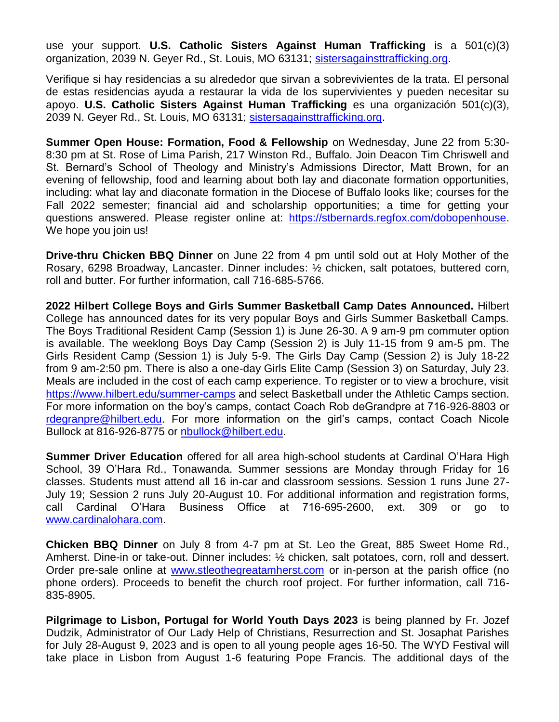use your support. **U.S. Catholic Sisters Against Human Trafficking** is a 501(c)(3) organization, 2039 N. Geyer Rd., St. Louis, MO 63131; [sistersagainsttrafficking.org.](file:///F:/2022/MAY%209%202022/sistersagainsttrafficking.org)

Verifique si hay residencias a su alrededor que sirvan a sobrevivientes de la trata. El personal de estas residencias ayuda a restaurar la vida de los supervivientes y pueden necesitar su apoyo. **U.S. Catholic Sisters Against Human Trafficking** es una organización 501(c)(3), 2039 N. Geyer Rd., St. Louis, MO 63131; [sistersagainsttrafficking.org.](file:///F:/2022/MAY%209%202022/sistersagainsttrafficking.org)

**Summer Open House: Formation, Food & Fellowship** on Wednesday, June 22 from 5:30- 8:30 pm at St. Rose of Lima Parish, 217 Winston Rd., Buffalo. Join Deacon Tim Chriswell and St. Bernard's School of Theology and Ministry's Admissions Director, Matt Brown, for an evening of fellowship, food and learning about both lay and diaconate formation opportunities, including: what lay and diaconate formation in the Diocese of Buffalo looks like; courses for the Fall 2022 semester; financial aid and scholarship opportunities; a time for getting your questions answered. Please register online at: [https://stbernards.regfox.com/dobopenhouse.](https://stbernards.regfox.com/dobopenhouse) We hope you join us!

**Drive-thru Chicken BBQ Dinner** on June 22 from 4 pm until sold out at Holy Mother of the Rosary, 6298 Broadway, Lancaster. Dinner includes: ½ chicken, salt potatoes, buttered corn, roll and butter. For further information, call 716-685-5766.

**2022 Hilbert College Boys and Girls Summer Basketball Camp Dates Announced.** Hilbert College has announced dates for its very popular Boys and Girls Summer Basketball Camps. The Boys Traditional Resident Camp (Session 1) is June 26-30. A 9 am-9 pm commuter option is available. The weeklong Boys Day Camp (Session 2) is July 11-15 from 9 am-5 pm. The Girls Resident Camp (Session 1) is July 5-9. The Girls Day Camp (Session 2) is July 18-22 from 9 am-2:50 pm. There is also a one-day Girls Elite Camp (Session 3) on Saturday, July 23. Meals are included in the cost of each camp experience. To register or to view a brochure, visit <https://www.hilbert.edu/summer-camps> and select Basketball under the Athletic Camps section. For more information on the boy's camps, contact Coach Rob deGrandpre at 716-926-8803 or [rdegranpre@hilbert.edu.](mailto:rdegranpre@hilbert.edu) For more information on the girl's camps, contact Coach Nicole Bullock at 816-926-8775 or [nbullock@hilbert.edu.](mailto:nbullock@hilbert.edu)

**Summer Driver Education** offered for all area high-school students at Cardinal O'Hara High School, 39 O'Hara Rd., Tonawanda. Summer sessions are Monday through Friday for 16 classes. Students must attend all 16 in-car and classroom sessions. Session 1 runs June 27- July 19; Session 2 runs July 20-August 10. For additional information and registration forms, call Cardinal O'Hara Business Office at 716-695-2600, ext. 309 or go to [www.cardinalohara.com.](http://www.cardinalohara.com/)

**Chicken BBQ Dinner** on July 8 from 4-7 pm at St. Leo the Great, 885 Sweet Home Rd., Amherst. Dine-in or take-out. Dinner includes: ½ chicken, salt potatoes, corn, roll and dessert. Order pre-sale online at [www.stleothegreatamherst.com](http://www.stleothegreatamherst.com/) or in-person at the parish office (no phone orders). Proceeds to benefit the church roof project. For further information, call 716- 835-8905.

**Pilgrimage to Lisbon, Portugal for World Youth Days 2023** is being planned by Fr. Jozef Dudzik, Administrator of Our Lady Help of Christians, Resurrection and St. Josaphat Parishes for July 28-August 9, 2023 and is open to all young people ages 16-50. The WYD Festival will take place in Lisbon from August 1-6 featuring Pope Francis. The additional days of the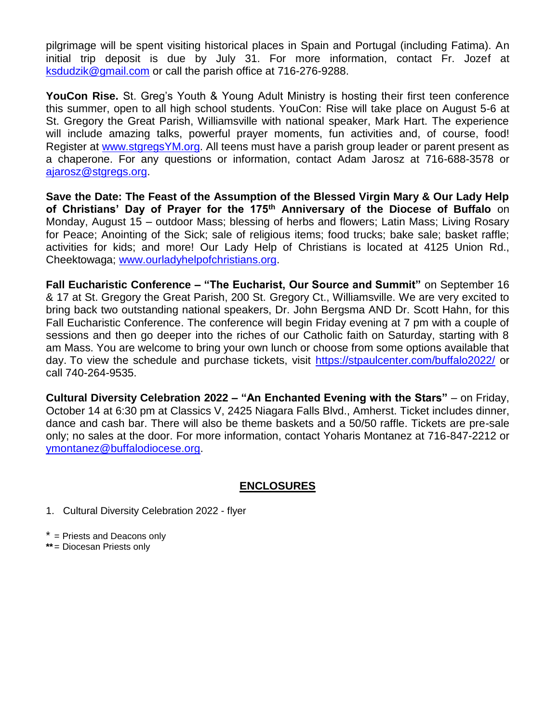pilgrimage will be spent visiting historical places in Spain and Portugal (including Fatima). An initial trip deposit is due by July 31. For more information, contact Fr. Jozef at [ksdudzik@gmail.com](mailto:ksdudzik@gmail.com) or call the parish office at 716-276-9288.

**YouCon Rise.** St. Greg's Youth & Young Adult Ministry is hosting their first teen conference this summer, open to all high school students. YouCon: Rise will take place on August 5-6 at St. Gregory the Great Parish, Williamsville with national speaker, Mark Hart. The experience will include amazing talks, powerful prayer moments, fun activities and, of course, food! Register at [www.stgregsYM.org.](http://www.stgregsym.org/) All teens must have a parish group leader or parent present as a chaperone. For any questions or information, contact Adam Jarosz at 716-688-3578 or [ajarosz@stgregs.org.](mailto:ajarosz@stgregs.org)

**Save the Date: The Feast of the Assumption of the Blessed Virgin Mary & Our Lady Help of Christians' Day of Prayer for the 175th Anniversary of the Diocese of Buffalo** on Monday, August 15 – outdoor Mass; blessing of herbs and flowers; Latin Mass; Living Rosary for Peace; Anointing of the Sick; sale of religious items; food trucks; bake sale; basket raffle; activities for kids; and more! Our Lady Help of Christians is located at 4125 Union Rd., Cheektowaga; [www.ourladyhelpofchristians.org.](http://www.ourladyhelpofchristians.org/)

**Fall Eucharistic Conference – "The Eucharist, Our Source and Summit"** on September 16 & 17 at St. Gregory the Great Parish, 200 St. Gregory Ct., Williamsville. We are very excited to bring back two outstanding national speakers, Dr. John Bergsma AND Dr. Scott Hahn, for this Fall Eucharistic Conference. The conference will begin Friday evening at 7 pm with a couple of sessions and then go deeper into the riches of our Catholic faith on Saturday, starting with 8 am Mass. You are welcome to bring your own lunch or choose from some options available that day. To view the schedule and purchase tickets, visit<https://stpaulcenter.com/buffalo2022/> or call 740-264-9535.

**Cultural Diversity Celebration 2022 – "An Enchanted Evening with the Stars"** – on Friday, October 14 at 6:30 pm at Classics V, 2425 Niagara Falls Blvd., Amherst. Ticket includes dinner, dance and cash bar. There will also be theme baskets and a 50/50 raffle. Tickets are pre-sale only; no sales at the door. For more information, contact Yoharis Montanez at 716-847-2212 or [ymontanez@buffalodiocese.org.](mailto:ymontanez@buffalodiocese.org)

### **ENCLOSURES**

1. Cultural Diversity Celebration 2022 - flyer

\* = Priests and Deacons only

**\*\***= Diocesan Priests only